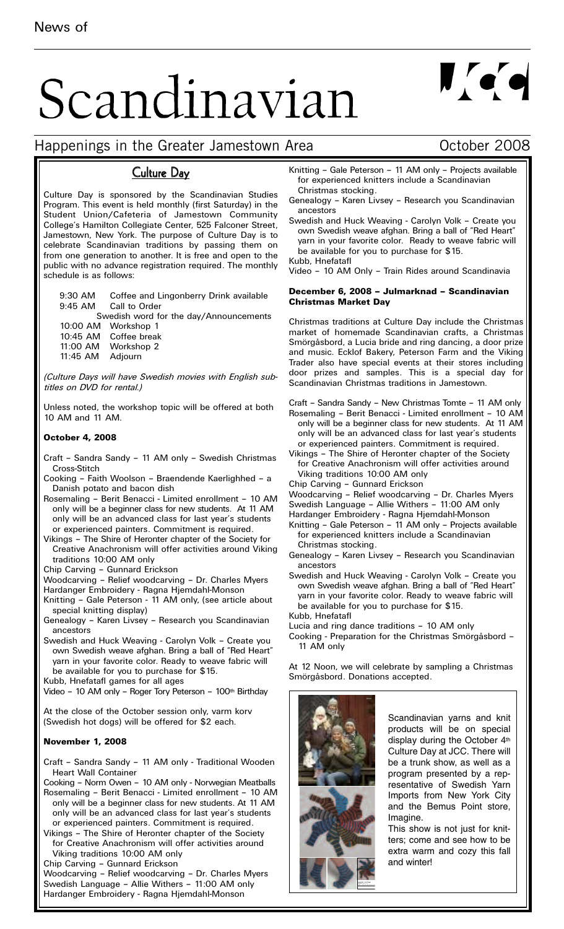# Scandinavian

## $\mathbf{U}$  or  $\mathbf{Q}$

#### Happenings in the Greater Jamestown Area **East Communist Contract Contract** Contract Contract Contract Contract Contract Contract Contract Contract Contract Contract Contract Contract Contract Contract Contract Contract Co

#### Culture Day

Culture Day is sponsored by the Scandinavian Studies Program. This event is held monthly (first Saturday) in the Student Union/Cafeteria of Jamestown Community College's Hamilton Collegiate Center, 525 Falconer Street, Jamestown, New York. The purpose of Culture Day is to celebrate Scandinavian traditions by passing them on from one generation to another. It is free and open to the public with no advance registration required. The monthly schedule is as follows:

9:30 AM Coffee and Lingonberry Drink available Call to Order

Swedish word for the day/Announcements 10:00 AM Workshop 1

- 10:45 AM Coffee break 11:00 AM Workshop 2
- 11:45 AM Adjourn

*(Culture Days will have Swedish movies with English subtitles on DVD for rental.)* 

Unless noted, the workshop topic will be offered at both 10 AM and 11 AM.

#### **October 4, 2008**

- Craft Sandra Sandy 11 AM only Swedish Christmas Cross-Stitch
- Cooking Faith Woolson Braendende Kaerlighhed a Danish potato and bacon dish
- Rosemaling Berit Benacci Limited enrollment 10 AM only will be a beginner class for new students. At 11 AM only will be an advanced class for last year's students or experienced painters. Commitment is required.
- Vikings The Shire of Heronter chapter of the Society for Creative Anachronism will offer activities around Viking traditions 10:00 AM only
- Chip Carving Gunnard Erickson
- Woodcarving Relief woodcarving Dr. Charles Myers
- Hardanger Embroidery Ragna Hjemdahl-Monson
- Knitting Gale Peterson 11 AM only, (see article about special knitting display)
- Genealogy Karen Livsey Research you Scandinavian ancestors
- Swedish and Huck Weaving Carolyn Volk Create you own Swedish weave afghan. Bring a ball of "Red Heart" yarn in your favorite color. Ready to weave fabric will be available for you to purchase for \$15.
- Kubb, Hnefatafl games for all ages

Video - 10 AM only - Roger Tory Peterson - 100th Birthday

At the close of the October session only, varm korv (Swedish hot dogs) will be offered for \$2 each.

#### **November 1, 2008**

Craft – Sandra Sandy – 11 AM only - Traditional Wooden Heart Wall Container

Cooking – Norm Owen – 10 AM only - Norwegian Meatballs

- Rosemaling Berit Benacci Limited enrollment 10 AM only will be a beginner class for new students. At 11 AM only will be an advanced class for last year's students or experienced painters. Commitment is required.
- Vikings The Shire of Heronter chapter of the Society for Creative Anachronism will offer activities around Viking traditions 10:00 AM only
- Chip Carving Gunnard Erickson

Woodcarving – Relief woodcarving – Dr. Charles Myers Swedish Language – Allie Withers – 11:00 AM only Hardanger Embroidery - Ragna Hjemdahl-Monson

- Knitting Gale Peterson 11 AM only Projects available for experienced knitters include a Scandinavian Christmas stocking.
- Genealogy Karen Livsey Research you Scandinavian ancestors
- Swedish and Huck Weaving Carolyn Volk Create you own Swedish weave afghan. Bring a ball of "Red Heart" yarn in your favorite color. Ready to weave fabric will be available for you to purchase for \$15.

Kubb, Hnefatafl

Video – 10 AM Only – Train Rides around Scandinavia

#### **December 6, 2008 – Julmarknad – Scandinavian Christmas Market Day**

Christmas traditions at Culture Day include the Christmas market of homemade Scandinavian crafts, a Christmas Smörgåsbord, a Lucia bride and ring dancing, a door prize and music. Ecklof Bakery, Peterson Farm and the Viking Trader also have special events at their stores including door prizes and samples. This is a special day for Scandinavian Christmas traditions in Jamestown.

- Craft Sandra Sandy New Christmas Tomte 11 AM only Rosemaling – Berit Benacci - Limited enrollment – 10 AM only will be a beginner class for new students. At 11 AM only will be an advanced class for last year's students or experienced painters. Commitment is required.
- Vikings The Shire of Heronter chapter of the Society for Creative Anachronism will offer activities around Viking traditions 10:00 AM only
- Chip Carving Gunnard Erickson
- Woodcarving Relief woodcarving Dr. Charles Myers Swedish Language – Allie Withers – 11:00 AM only
- Hardanger Embroidery Ragna Hjemdahl-Monson
- Knitting Gale Peterson 11 AM only Projects available for experienced knitters include a Scandinavian Christmas stocking.
- Genealogy Karen Livsey Research you Scandinavian ancestors
- Swedish and Huck Weaving Carolyn Volk Create you own Swedish weave afghan. Bring a ball of "Red Heart" yarn in your favorite color. Ready to weave fabric will be available for you to purchase for \$15. Kubb, Hnefatafl
- Lucia and ring dance traditions 10 AM only
- Cooking Preparation for the Christmas Smörgåsbord 11 AM only

At 12 Noon, we will celebrate by sampling a Christmas Smörgåsbord. Donations accepted.



Scandinavian yarns and knit products will be on special display during the October 4th Culture Day at JCC. There will be a trunk show, as well as a program presented by a representative of Swedish Yarn Imports from New York City and the Bemus Point store, Imagine.

This show is not just for knitters; come and see how to be extra warm and cozy this fall and winter!